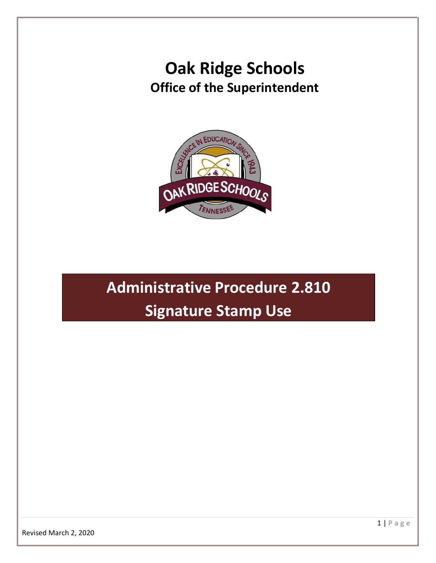## **Oak Ridge Schools Office of the Superintendent**



# **Administrative Procedure 2.810 Signature Stamp Use**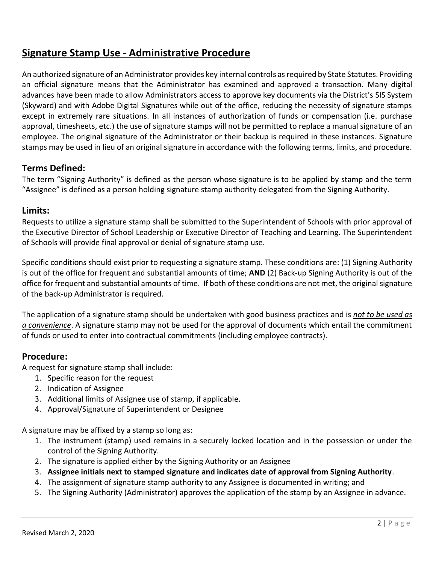### **Signature Stamp Use - Administrative Procedure**

An authorized signature of an Administrator provides key internal controls as required by State Statutes. Providing an official signature means that the Administrator has examined and approved a transaction. Many digital advances have been made to allow Administrators access to approve key documents via the District's SIS System (Skyward) and with Adobe Digital Signatures while out of the office, reducing the necessity of signature stamps except in extremely rare situations. In all instances of authorization of funds or compensation (i.e. purchase approval, timesheets, etc.) the use of signature stamps will not be permitted to replace a manual signature of an employee. The original signature of the Administrator or their backup is required in these instances. Signature stamps may be used in lieu of an original signature in accordance with the following terms, limits, and procedure.

#### **Terms Defined:**

The term "Signing Authority" is defined as the person whose signature is to be applied by stamp and the term "Assignee" is defined as a person holding signature stamp authority delegated from the Signing Authority.

#### **Limits:**

Requests to utilize a signature stamp shall be submitted to the Superintendent of Schools with prior approval of the Executive Director of School Leadership or Executive Director of Teaching and Learning. The Superintendent of Schools will provide final approval or denial of signature stamp use.

Specific conditions should exist prior to requesting a signature stamp. These conditions are: (1) Signing Authority is out of the office for frequent and substantial amounts of time; **AND** (2) Back-up Signing Authority is out of the office for frequent and substantial amounts of time. If both of these conditions are not met, the original signature of the back-up Administrator is required.

The application of a signature stamp should be undertaken with good business practices and is *not to be used as a convenience*. A signature stamp may not be used for the approval of documents which entail the commitment of funds or used to enter into contractual commitments (including employee contracts).

#### **Procedure:**

A request for signature stamp shall include:

- 1. Specific reason for the request
- 2. Indication of Assignee
- 3. Additional limits of Assignee use of stamp, if applicable.
- 4. Approval/Signature of Superintendent or Designee

A signature may be affixed by a stamp so long as:

- 1. The instrument (stamp) used remains in a securely locked location and in the possession or under the control of the Signing Authority.
- 2. The signature is applied either by the Signing Authority or an Assignee
- 3. **Assignee initials next to stamped signature and indicates date of approval from Signing Authority**.
- 4. The assignment of signature stamp authority to any Assignee is documented in writing; and
- 5. The Signing Authority (Administrator) approves the application of the stamp by an Assignee in advance.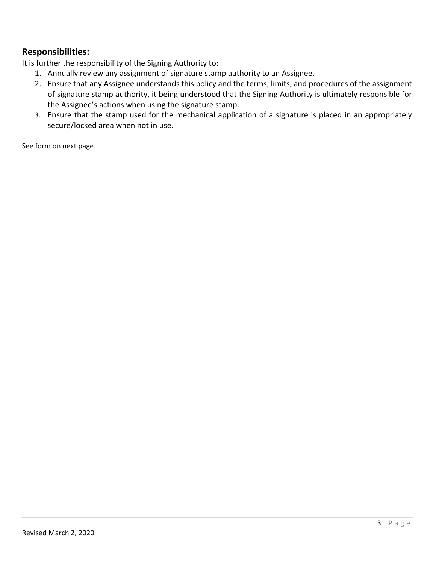#### **Responsibilities:**

It is further the responsibility of the Signing Authority to:

- 1. Annually review any assignment of signature stamp authority to an Assignee.
- 2. Ensure that any Assignee understands this policy and the terms, limits, and procedures of the assignment of signature stamp authority, it being understood that the Signing Authority is ultimately responsible for the Assignee's actions when using the signature stamp.
- 3. Ensure that the stamp used for the mechanical application of a signature is placed in an appropriately secure/locked area when not in use.

See form on next page.